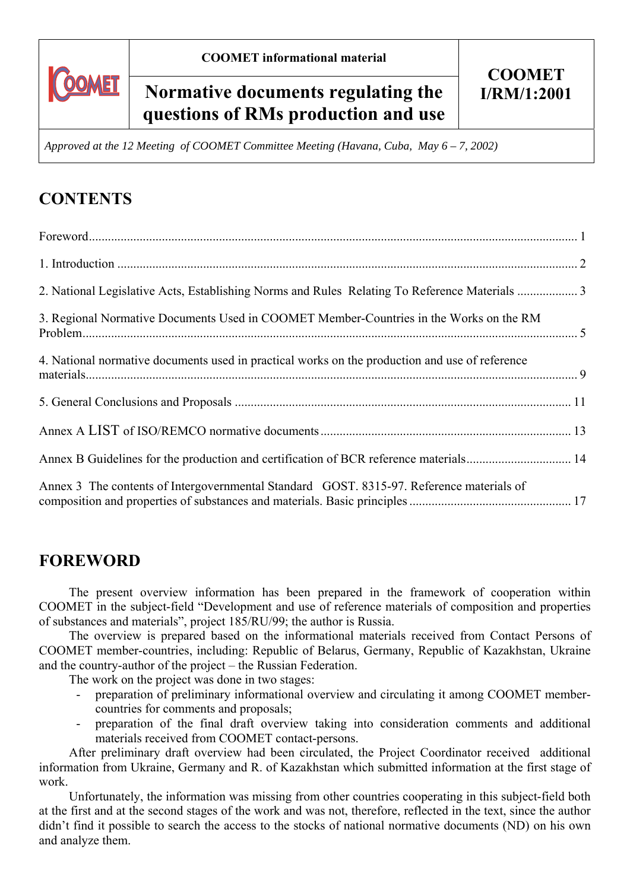

# Normative documents regulating the | I/RM/1:2001 **questions of RMs production and use**

*Approved at the 12 Meeting of COOMET Committee Meeting (Havana, Cuba, May 6 – 7, 2002)* 

# **CONTENTS**

| 2. National Legislative Acts, Establishing Norms and Rules Relating To Reference Materials  3  |  |
|------------------------------------------------------------------------------------------------|--|
| 3. Regional Normative Documents Used in COOMET Member-Countries in the Works on the RM         |  |
| 4. National normative documents used in practical works on the production and use of reference |  |
|                                                                                                |  |
|                                                                                                |  |
| Annex B Guidelines for the production and certification of BCR reference materials 14          |  |
| Annex 3 The contents of Intergovernmental Standard GOST. 8315-97. Reference materials of       |  |

## **FOREWORD**

The present overview information has been prepared in the framework of cooperation within COOMET in the subject-field "Development and use of reference materials of composition and properties of substances and materials", project 185/RU/99; the author is Russia.

The overview is prepared based on the informational materials received from Contact Persons of COOMET member-countries, including: Republic of Belarus, Germany, Republic of Kazakhstan, Ukraine and the country-author of the project – the Russian Federation.

The work on the project was done in two stages:

- preparation of preliminary informational overview and circulating it among COOMET membercountries for comments and proposals;
- preparation of the final draft overview taking into consideration comments and additional materials received from COOMET contact-persons.

After preliminary draft overview had been circulated, the Project Coordinator received additional information from Ukraine, Germany and R. of Kazakhstan which submitted information at the first stage of work.

Unfortunately, the information was missing from other countries cooperating in this subject-field both at the first and at the second stages of the work and was not, therefore, reflected in the text, since the author didn't find it possible to search the access to the stocks of national normative documents (ND) on his own and analyze them.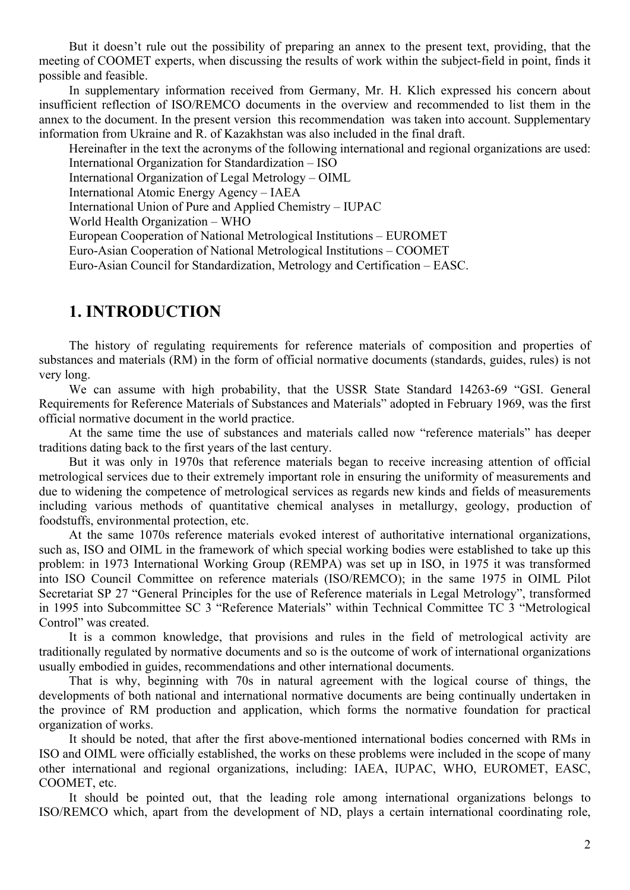But it doesn't rule out the possibility of preparing an annex to the present text, providing, that the meeting of COOMET experts, when discussing the results of work within the subject-field in point, finds it possible and feasible.

In supplementary information received from Germany, Mr. H. Klich expressed his concern about insufficient reflection of ISO/REMCO documents in the overview and recommended to list them in the annex to the document. In the present version this recommendation was taken into account. Supplementary information from Ukraine and R. of Kazakhstan was also included in the final draft.

Hereinafter in the text the acronyms of the following international and regional organizations are used: International Organization for Standardization – ISO

International Organization of Legal Metrology – OIML

International Atomic Energy Agency – IAEA

International Union of Pure and Applied Chemistry – IUPAC

World Health Organization – WHO

European Cooperation of National Metrological Institutions – EUROMET

Euro-Asian Cooperation of National Metrological Institutions – COOMET

Euro-Asian Council for Standardization, Metrology and Certification – EASC.

## **1. INTRODUCTION**

The history of regulating requirements for reference materials of composition and properties of substances and materials (RM) in the form of official normative documents (standards, guides, rules) is not very long.

We can assume with high probability, that the USSR State Standard 14263-69 "GSI. General Requirements for Reference Materials of Substances and Materials" adopted in February 1969, was the first official normative document in the world practice.

At the same time the use of substances and materials called now "reference materials" has deeper traditions dating back to the first years of the last century.

But it was only in 1970s that reference materials began to receive increasing attention of official metrological services due to their extremely important role in ensuring the uniformity of measurements and due to widening the competence of metrological services as regards new kinds and fields of measurements including various methods of quantitative chemical analyses in metallurgy, geology, production of foodstuffs, environmental protection, etc.

At the same 1070s reference materials evoked interest of authoritative international organizations, such as, ISO and OIML in the framework of which special working bodies were established to take up this problem: in 1973 International Working Group (REMPA) was set up in ISO, in 1975 it was transformed into ISO Council Committee on reference materials (ISO/REMCO); in the same 1975 in OIML Pilot Secretariat SP 27 "General Principles for the use of Reference materials in Legal Metrology", transformed in 1995 into Subcommittee SC 3 "Reference Materials" within Technical Committee TC 3 "Metrological Control" was created.

It is a common knowledge, that provisions and rules in the field of metrological activity are traditionally regulated by normative documents and so is the outcome of work of international organizations usually embodied in guides, recommendations and other international documents.

That is why, beginning with 70s in natural agreement with the logical course of things, the developments of both national and international normative documents are being continually undertaken in the province of RM production and application, which forms the normative foundation for practical organization of works.

It should be noted, that after the first above-mentioned international bodies concerned with RMs in ISO and OIML were officially established, the works on these problems were included in the scope of many other international and regional organizations, including: IAEA, IUPAC, WHO, EUROMET, EASC, COOMET, etc.

It should be pointed out, that the leading role among international organizations belongs to ISO/REMCO which, apart from the development of ND, plays a certain international coordinating role,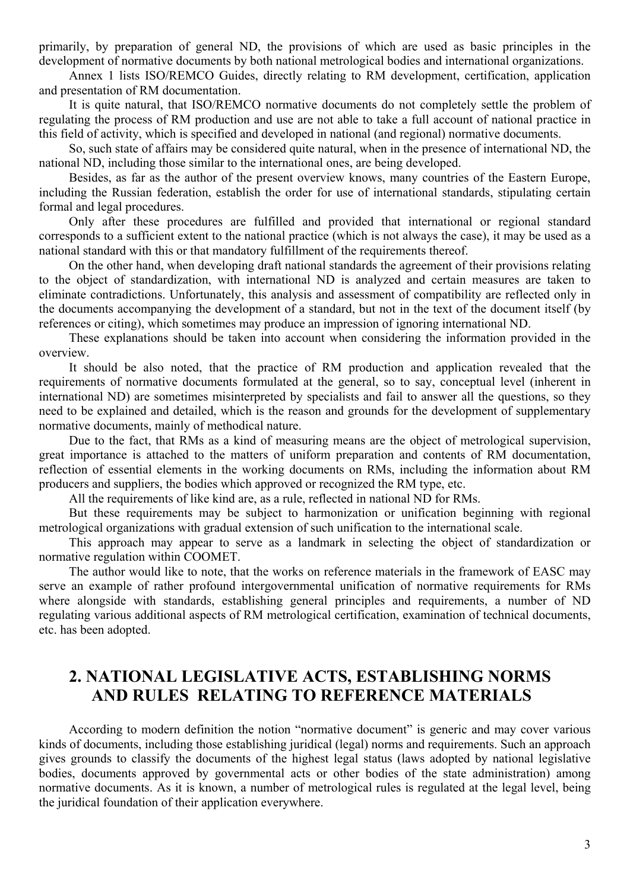primarily, by preparation of general ND, the provisions of which are used as basic principles in the development of normative documents by both national metrological bodies and international organizations.

Annex 1 lists ISO/REMCO Guides, directly relating to RM development, certification, application and presentation of RM documentation.

It is quite natural, that ISO/REMCO normative documents do not completely settle the problem of regulating the process of RM production and use are not able to take a full account of national practice in this field of activity, which is specified and developed in national (and regional) normative documents.

So, such state of affairs may be considered quite natural, when in the presence of international ND, the national ND, including those similar to the international ones, are being developed.

Besides, as far as the author of the present overview knows, many countries of the Eastern Europe, including the Russian federation, establish the order for use of international standards, stipulating certain formal and legal procedures.

Only after these procedures are fulfilled and provided that international or regional standard corresponds to a sufficient extent to the national practice (which is not always the case), it may be used as a national standard with this or that mandatory fulfillment of the requirements thereof.

On the other hand, when developing draft national standards the agreement of their provisions relating to the object of standardization, with international ND is analyzed and certain measures are taken to eliminate contradictions. Unfortunately, this analysis and assessment of compatibility are reflected only in the documents accompanying the development of a standard, but not in the text of the document itself (by references or citing), which sometimes may produce an impression of ignoring international ND.

These explanations should be taken into account when considering the information provided in the overview.

It should be also noted, that the practice of RM production and application revealed that the requirements of normative documents formulated at the general, so to say, conceptual level (inherent in international ND) are sometimes misinterpreted by specialists and fail to answer all the questions, so they need to be explained and detailed, which is the reason and grounds for the development of supplementary normative documents, mainly of methodical nature.

Due to the fact, that RMs as a kind of measuring means are the object of metrological supervision, great importance is attached to the matters of uniform preparation and contents of RM documentation, reflection of essential elements in the working documents on RMs, including the information about RM producers and suppliers, the bodies which approved or recognized the RM type, etc.

All the requirements of like kind are, as a rule, reflected in national ND for RMs.

But these requirements may be subject to harmonization or unification beginning with regional metrological organizations with gradual extension of such unification to the international scale.

This approach may appear to serve as a landmark in selecting the object of standardization or normative regulation within COOMET.

The author would like to note, that the works on reference materials in the framework of EASC may serve an example of rather profound intergovernmental unification of normative requirements for RMs where alongside with standards, establishing general principles and requirements, a number of ND regulating various additional aspects of RM metrological certification, examination of technical documents, etc. has been adopted.

## **2. NATIONAL LEGISLATIVE ACTS, ESTABLISHING NORMS AND RULES RELATING TO REFERENCE MATERIALS**

According to modern definition the notion "normative document" is generic and may cover various kinds of documents, including those establishing juridical (legal) norms and requirements. Such an approach gives grounds to classify the documents of the highest legal status (laws adopted by national legislative bodies, documents approved by governmental acts or other bodies of the state administration) among normative documents. As it is known, a number of metrological rules is regulated at the legal level, being the juridical foundation of their application everywhere.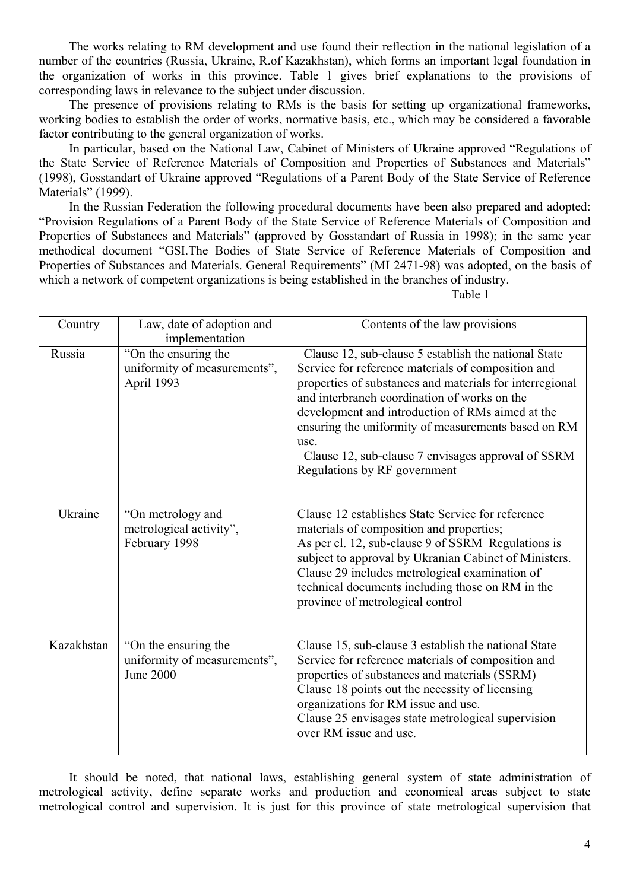The works relating to RM development and use found their reflection in the national legislation of a number of the countries (Russia, Ukraine, R.of Kazakhstan), which forms an important legal foundation in the organization of works in this province. Table 1 gives brief explanations to the provisions of corresponding laws in relevance to the subject under discussion.

The presence of provisions relating to RMs is the basis for setting up organizational frameworks, working bodies to establish the order of works, normative basis, etc., which may be considered a favorable factor contributing to the general organization of works.

In particular, based on the National Law, Cabinet of Ministers of Ukraine approved "Regulations of the State Service of Reference Materials of Composition and Properties of Substances and Materials" (1998), Gosstandart of Ukraine approved "Regulations of a Parent Body of the State Service of Reference Materials" (1999).

In the Russian Federation the following procedural documents have been also prepared and adopted: "Provision Regulations of a Parent Body of the State Service of Reference Materials of Composition and Properties of Substances and Materials" (approved by Gosstandart of Russia in 1998); in the same year methodical document "GSI.The Bodies of State Service of Reference Materials of Composition and Properties of Substances and Materials. General Requirements" (MI 2471-98) was adopted, on the basis of which a network of competent organizations is being established in the branches of industry.

Table 1

| Country    | Law, date of adoption and<br>implementation                              | Contents of the law provisions                                                                                                                                                                                                                                                                                                                                                                                                  |  |
|------------|--------------------------------------------------------------------------|---------------------------------------------------------------------------------------------------------------------------------------------------------------------------------------------------------------------------------------------------------------------------------------------------------------------------------------------------------------------------------------------------------------------------------|--|
| Russia     | "On the ensuring the<br>uniformity of measurements",<br>April 1993       | Clause 12, sub-clause 5 establish the national State<br>Service for reference materials of composition and<br>properties of substances and materials for interregional<br>and interbranch coordination of works on the<br>development and introduction of RMs aimed at the<br>ensuring the uniformity of measurements based on RM<br>use.<br>Clause 12, sub-clause 7 envisages approval of SSRM<br>Regulations by RF government |  |
| Ukraine    | "On metrology and<br>metrological activity",<br>February 1998            | Clause 12 establishes State Service for reference<br>materials of composition and properties;<br>As per cl. 12, sub-clause 9 of SSRM Regulations is<br>subject to approval by Ukranian Cabinet of Ministers.<br>Clause 29 includes metrological examination of<br>technical documents including those on RM in the<br>province of metrological control                                                                          |  |
| Kazakhstan | "On the ensuring the<br>uniformity of measurements",<br><b>June 2000</b> | Clause 15, sub-clause 3 establish the national State<br>Service for reference materials of composition and<br>properties of substances and materials (SSRM)<br>Clause 18 points out the necessity of licensing<br>organizations for RM issue and use.<br>Clause 25 envisages state metrological supervision<br>over RM issue and use.                                                                                           |  |

It should be noted, that national laws, establishing general system of state administration of metrological activity, define separate works and production and economical areas subject to state metrological control and supervision. It is just for this province of state metrological supervision that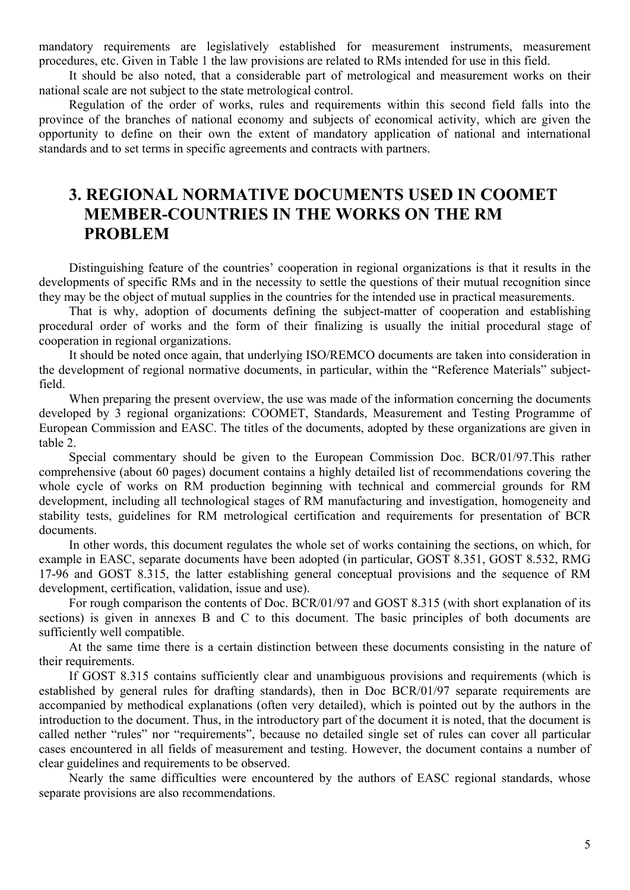mandatory requirements are legislatively established for measurement instruments, measurement procedures, etc. Given in Table 1 the law provisions are related to RMs intended for use in this field.

It should be also noted, that a considerable part of metrological and measurement works on their national scale are not subject to the state metrological control.

Regulation of the order of works, rules and requirements within this second field falls into the province of the branches of national economy and subjects of economical activity, which are given the opportunity to define on their own the extent of mandatory application of national and international standards and to set terms in specific agreements and contracts with partners.

## **3. REGIONAL NORMATIVE DOCUMENTS USED IN COOMET MEMBER-COUNTRIES IN THE WORKS ON THE RM PROBLEM**

Distinguishing feature of the countries' cooperation in regional organizations is that it results in the developments of specific RMs and in the necessity to settle the questions of their mutual recognition since they may be the object of mutual supplies in the countries for the intended use in practical measurements.

That is why, adoption of documents defining the subject-matter of cooperation and establishing procedural order of works and the form of their finalizing is usually the initial procedural stage of cooperation in regional organizations.

It should be noted once again, that underlying ISO/REMCO documents are taken into consideration in the development of regional normative documents, in particular, within the "Reference Materials" subjectfield.

When preparing the present overview, the use was made of the information concerning the documents developed by 3 regional organizations: COOMET, Standards, Measurement and Testing Programme of European Commission and EASC. The titles of the documents, adopted by these organizations are given in table 2.

Special commentary should be given to the European Commission Doc. BCR/01/97.This rather comprehensive (about 60 pages) document contains a highly detailed list of recommendations covering the whole cycle of works on RM production beginning with technical and commercial grounds for RM development, including all technological stages of RM manufacturing and investigation, homogeneity and stability tests, guidelines for RM metrological certification and requirements for presentation of BCR documents.

In other words, this document regulates the whole set of works containing the sections, on which, for example in EASC, separate documents have been adopted (in particular, GOST 8.351, GOST 8.532, RMG 17-96 and GOST 8.315, the latter establishing general conceptual provisions and the sequence of RM development, certification, validation, issue and use).

For rough comparison the contents of Doc. BCR/01/97 and GOST 8.315 (with short explanation of its sections) is given in annexes B and C to this document. The basic principles of both documents are sufficiently well compatible.

At the same time there is a certain distinction between these documents consisting in the nature of their requirements.

If GOST 8.315 contains sufficiently clear and unambiguous provisions and requirements (which is established by general rules for drafting standards), then in Doc BCR/01/97 separate requirements are accompanied by methodical explanations (often very detailed), which is pointed out by the authors in the introduction to the document. Thus, in the introductory part of the document it is noted, that the document is called nether "rules" nor "requirements", because no detailed single set of rules can cover all particular cases encountered in all fields of measurement and testing. However, the document contains a number of clear guidelines and requirements to be observed.

Nearly the same difficulties were encountered by the authors of EASC regional standards, whose separate provisions are also recommendations.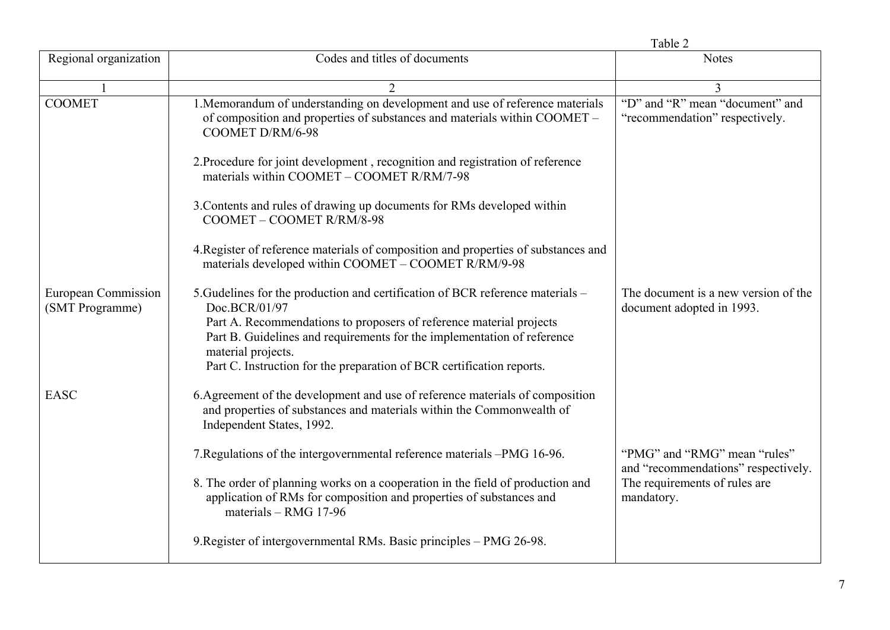|                                        |                                                                                                                                                                                                                                                                                                                                                  | Table 2                                                             |  |
|----------------------------------------|--------------------------------------------------------------------------------------------------------------------------------------------------------------------------------------------------------------------------------------------------------------------------------------------------------------------------------------------------|---------------------------------------------------------------------|--|
| Regional organization                  | Codes and titles of documents                                                                                                                                                                                                                                                                                                                    | <b>Notes</b>                                                        |  |
|                                        | $\mathcal{D}_{\mathcal{L}}$                                                                                                                                                                                                                                                                                                                      | 3                                                                   |  |
| <b>COOMET</b>                          | 1. Memorandum of understanding on development and use of reference materials<br>of composition and properties of substances and materials within COOMET -<br>COOMET D/RM/6-98                                                                                                                                                                    | "D" and "R" mean "document" and<br>"recommendation" respectively.   |  |
|                                        | 2. Procedure for joint development, recognition and registration of reference<br>materials within COOMET - COOMET R/RM/7-98                                                                                                                                                                                                                      |                                                                     |  |
|                                        | 3. Contents and rules of drawing up documents for RMs developed within<br>COOMET - COOMET R/RM/8-98                                                                                                                                                                                                                                              |                                                                     |  |
|                                        | 4. Register of reference materials of composition and properties of substances and<br>materials developed within COOMET - COOMET R/RM/9-98                                                                                                                                                                                                       |                                                                     |  |
| European Commission<br>(SMT Programme) | 5. Gudelines for the production and certification of BCR reference materials –<br>Doc.BCR/01/97<br>Part A. Recommendations to proposers of reference material projects<br>Part B. Guidelines and requirements for the implementation of reference<br>material projects.<br>Part C. Instruction for the preparation of BCR certification reports. | The document is a new version of the<br>document adopted in 1993.   |  |
| <b>EASC</b>                            | 6. Agreement of the development and use of reference materials of composition<br>and properties of substances and materials within the Commonwealth of<br>Independent States, 1992.                                                                                                                                                              |                                                                     |  |
|                                        | 7. Regulations of the intergovernmental reference materials -PMG 16-96.                                                                                                                                                                                                                                                                          | "PMG" and "RMG" mean "rules"<br>and "recommendations" respectively. |  |
|                                        | 8. The order of planning works on a cooperation in the field of production and<br>application of RMs for composition and properties of substances and<br>materials – RMG 17-96                                                                                                                                                                   | The requirements of rules are<br>mandatory.                         |  |
|                                        | 9. Register of intergovernmental RMs. Basic principles – PMG 26-98.                                                                                                                                                                                                                                                                              |                                                                     |  |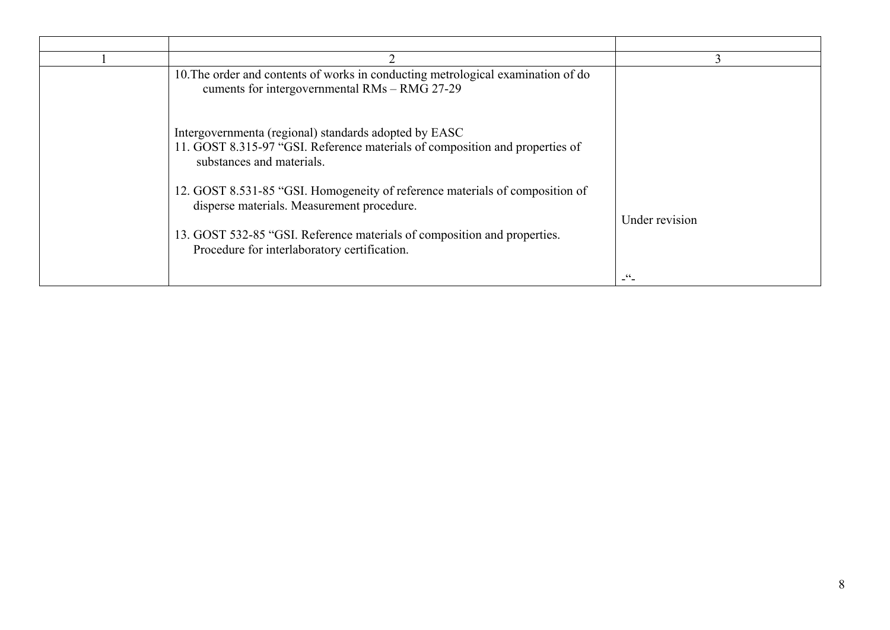| 10. The order and contents of works in conducting metrological examination of do<br>cuments for intergovernmental RMs - RMG 27-29                                                                      |                |
|--------------------------------------------------------------------------------------------------------------------------------------------------------------------------------------------------------|----------------|
| Intergovernmenta (regional) standards adopted by EASC<br>11. GOST 8.315-97 "GSI. Reference materials of composition and properties of<br>substances and materials.                                     |                |
| 12. GOST 8.531-85 "GSI. Homogeneity of reference materials of composition of<br>disperse materials. Measurement procedure.<br>13. GOST 532-85 "GSI. Reference materials of composition and properties. | Under revision |
| Procedure for interlaboratory certification.                                                                                                                                                           | $-\frac{1}{2}$ |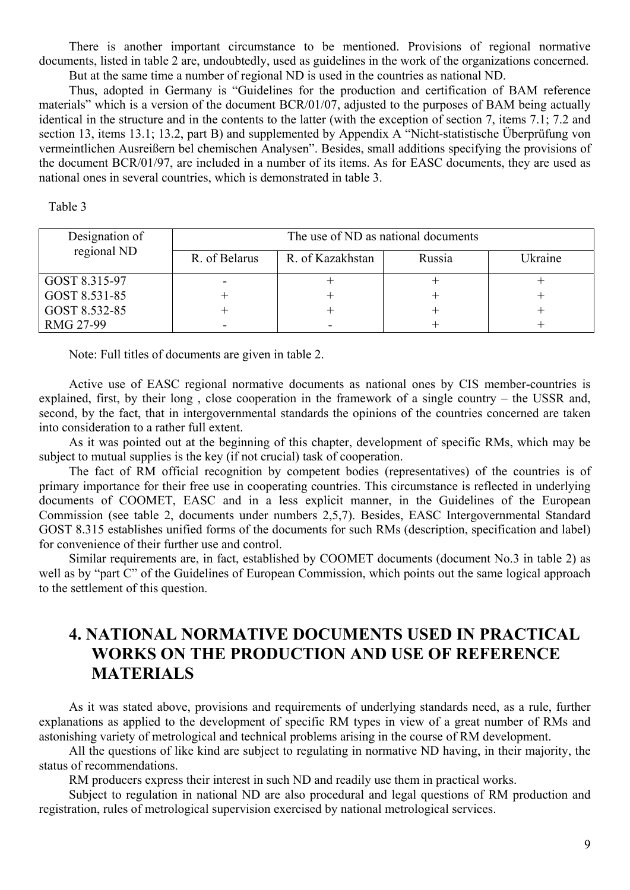There is another important circumstance to be mentioned. Provisions of regional normative documents, listed in table 2 are, undoubtedly, used as guidelines in the work of the organizations concerned. But at the same time a number of regional ND is used in the countries as national ND.

Thus, adopted in Germany is "Guidelines for the production and certification of BAM reference materials" which is a version of the document BCR/01/07, adjusted to the purposes of BAM being actually identical in the structure and in the contents to the latter (with the exception of section 7, items 7.1; 7.2 and section 13, items 13.1; 13.2, part B) and supplemented by Appendix A "Nicht-statistische Überprüfung von vermeintlichen Ausreißern bel chemischen Analysen". Besides, small additions specifying the provisions of the document BCR/01/97, are included in a number of its items. As for EASC documents, they are used as national ones in several countries, which is demonstrated in table 3.

#### Table 3

| Designation of<br>regional ND | The use of ND as national documents |                  |        |         |
|-------------------------------|-------------------------------------|------------------|--------|---------|
|                               | R. of Belarus                       | R. of Kazakhstan | Russia | Ukraine |
| GOST 8.315-97                 |                                     |                  |        |         |
| GOST 8.531-85                 |                                     |                  |        |         |
| GOST 8.532-85                 |                                     |                  |        |         |
| RMG 27-99                     |                                     | -                |        |         |

Note: Full titles of documents are given in table 2.

Active use of EASC regional normative documents as national ones by CIS member-countries is explained, first, by their long , close cooperation in the framework of a single country – the USSR and, second, by the fact, that in intergovernmental standards the opinions of the countries concerned are taken into consideration to a rather full extent.

As it was pointed out at the beginning of this chapter, development of specific RMs, which may be subject to mutual supplies is the key (if not crucial) task of cooperation.

The fact of RM official recognition by competent bodies (representatives) of the countries is of primary importance for their free use in cooperating countries. This circumstance is reflected in underlying documents of COOMET, EASC and in a less explicit manner, in the Guidelines of the European Commission (see table 2, documents under numbers 2,5,7). Besides, EASC Intergovernmental Standard GOST 8.315 establishes unified forms of the documents for such RMs (description, specification and label) for convenience of their further use and control.

Similar requirements are, in fact, established by COOMET documents (document No.3 in table 2) as well as by "part C" of the Guidelines of European Commission, which points out the same logical approach to the settlement of this question.

## **4. NATIONAL NORMATIVE DOCUMENTS USED IN PRACTICAL WORKS ON THE PRODUCTION AND USE OF REFERENCE MATERIALS**

As it was stated above, provisions and requirements of underlying standards need, as a rule, further explanations as applied to the development of specific RM types in view of a great number of RMs and astonishing variety of metrological and technical problems arising in the course of RM development.

All the questions of like kind are subject to regulating in normative ND having, in their majority, the status of recommendations.

RM producers express their interest in such ND and readily use them in practical works.

Subject to regulation in national ND are also procedural and legal questions of RM production and registration, rules of metrological supervision exercised by national metrological services.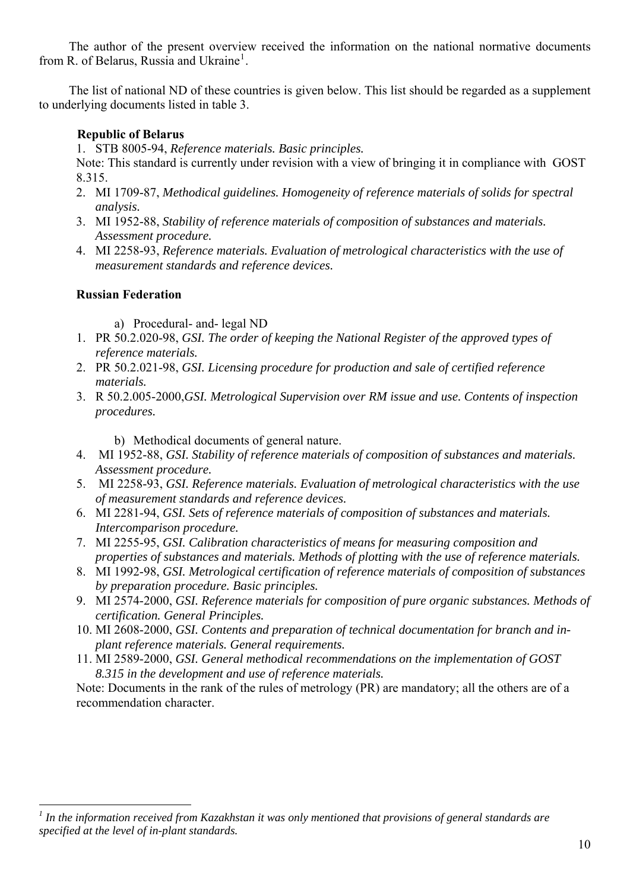<span id="page-9-0"></span>The author of the present overview received the information on the national normative documents from R. of Belarus, Russia and Ukraine<sup>[1](#page-9-0)</sup>.

The list of national ND of these countries is given below. This list should be regarded as a supplement to underlying documents listed in table 3.

### **Republic of Belarus**

1. STB 8005-94, *Reference materials. Basic principles.*

Note: This standard is currently under revision with a view of bringing it in compliance with GOST 8.315.

- 2. MI 1709-87, *Methodical guidelines. Homogeneity of reference materials of solids for spectral analysis.*
- 3. MI 1952-88, *Stability of reference materials of composition of substances and materials. Assessment procedure.*
- 4. MI 2258-93, *Reference materials. Evaluation of metrological characteristics with the use of measurement standards and reference devices.*

## **Russian Federation**

 $\overline{a}$ 

a) Procedural- and- legal ND

- 1. PR 50.2.020-98, *GSI. The order of keeping the National Register of the approved types of reference materials.*
- 2. PR 50.2.021-98, *GSI. Licensing procedure for production and sale of certified reference materials.*
- 3. R 50.2.005-2000,*GSI. Metrological Supervision over RM issue and use. Contents of inspection procedures.*

b) Methodical documents of general nature.

- 4. MI 1952-88, *GSI. Stability of reference materials of composition of substances and materials. Assessment procedure.*
- 5. MI 2258-93, *GSI. Reference materials. Evaluation of metrological characteristics with the use of measurement standards and reference devices.*
- 6. MI 2281-94, *GSI. Sets of reference materials of composition of substances and materials. Intercomparison procedure.*
- 7. MI 2255-95, *GSI. Calibration characteristics of means for measuring composition and properties of substances and materials. Methods of plotting with the use of reference materials.*
- 8. MI 1992-98, *GSI. Metrological certification of reference materials of composition of substances by preparation procedure. Basic principles.*
- 9. MI 2574-2000, *GSI. Reference materials for composition of pure organic substances. Methods of certification. General Principles.*
- 10. MI 2608-2000, *GSI. Contents and preparation of technical documentation for branch and inplant reference materials. General requirements.*
- 11. MI 2589-2000, *GSI. General methodical recommendations on the implementation of GOST 8.315 in the development and use of reference materials.*

Note: Documents in the rank of the rules of metrology (PR) are mandatory; all the others are of a recommendation character.

*<sup>1</sup> In the information received from Kazakhstan it was only mentioned that provisions of general standards are specified at the level of in-plant standards.*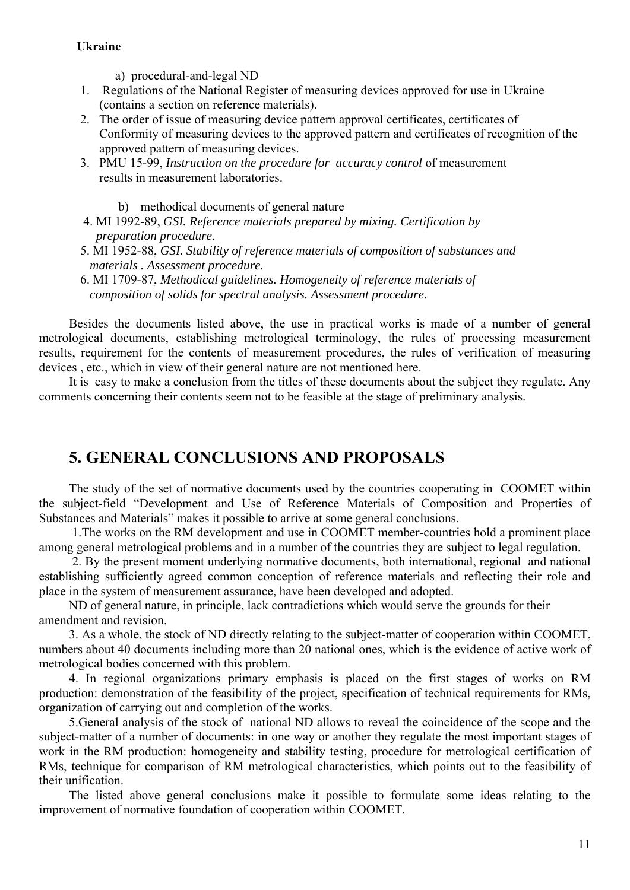## **Ukraine**

a) procedural-and-legal ND

- 1. Regulations of the National Register of measuring devices approved for use in Ukraine (contains a section on reference materials).
- 2. The order of issue of measuring device pattern approval certificates, certificates of Conformity of measuring devices to the approved pattern and certificates of recognition of the approved pattern of measuring devices.
- 3. PMU 15-99, *Instruction on the procedure for accuracy control* of measurement results in measurement laboratories.

b) methodical documents of general nature

- 4. MI 1992-89, *GSI. Reference materials prepared by mixing. Certification by preparation procedure.*
- 5. MI 1952-88, *GSI. Stability of reference materials of composition of substances and materials . Assessment procedure.*
- 6. MI 1709-87, *Methodical guidelines. Homogeneity of reference materials of composition of solids for spectral analysis. Assessment procedure.*

Besides the documents listed above, the use in practical works is made of a number of general metrological documents, establishing metrological terminology, the rules of processing measurement results, requirement for the contents of measurement procedures, the rules of verification of measuring devices , etc., which in view of their general nature are not mentioned here.

It is easy to make a conclusion from the titles of these documents about the subject they regulate. Any comments concerning their contents seem not to be feasible at the stage of preliminary analysis.

## **5. GENERAL CONCLUSIONS AND PROPOSALS**

The study of the set of normative documents used by the countries cooperating in COOMET within the subject-field "Development and Use of Reference Materials of Composition and Properties of Substances and Materials" makes it possible to arrive at some general conclusions.

 1.The works on the RM development and use in COOMET member-countries hold a prominent place among general metrological problems and in a number of the countries they are subject to legal regulation.

 2. By the present moment underlying normative documents, both international, regional and national establishing sufficiently agreed common conception of reference materials and reflecting their role and place in the system of measurement assurance, have been developed and adopted.

ND of general nature, in principle, lack contradictions which would serve the grounds for their amendment and revision.

3. As a whole, the stock of ND directly relating to the subject-matter of cooperation within COOMET, numbers about 40 documents including more than 20 national ones, which is the evidence of active work of metrological bodies concerned with this problem.

4. In regional organizations primary emphasis is placed on the first stages of works on RM production: demonstration of the feasibility of the project, specification of technical requirements for RMs, organization of carrying out and completion of the works.

5.General analysis of the stock of national ND allows to reveal the coincidence of the scope and the subject-matter of a number of documents: in one way or another they regulate the most important stages of work in the RM production: homogeneity and stability testing, procedure for metrological certification of RMs, technique for comparison of RM metrological characteristics, which points out to the feasibility of their unification.

The listed above general conclusions make it possible to formulate some ideas relating to the improvement of normative foundation of cooperation within COOMET.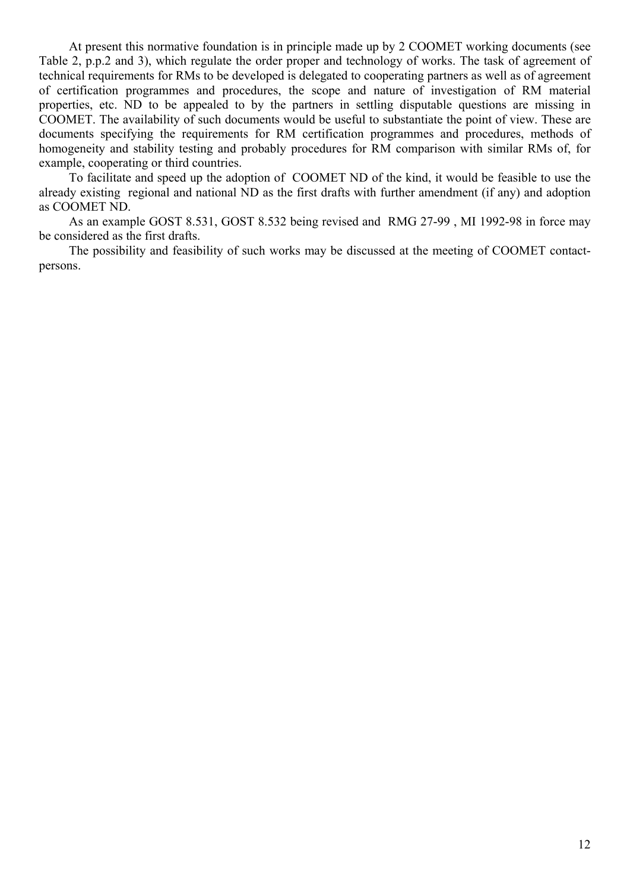At present this normative foundation is in principle made up by 2 COOMET working documents (see Table 2, p.p.2 and 3), which regulate the order proper and technology of works. The task of agreement of technical requirements for RMs to be developed is delegated to cooperating partners as well as of agreement of certification programmes and procedures, the scope and nature of investigation of RM material properties, etc. ND to be appealed to by the partners in settling disputable questions are missing in COOMET. The availability of such documents would be useful to substantiate the point of view. These are documents specifying the requirements for RM certification programmes and procedures, methods of homogeneity and stability testing and probably procedures for RM comparison with similar RMs of, for example, cooperating or third countries.

To facilitate and speed up the adoption of COOMET ND of the kind, it would be feasible to use the already existing regional and national ND as the first drafts with further amendment (if any) and adoption as COOMET ND.

As an example GOST 8.531, GOST 8.532 being revised and RMG 27-99 , MI 1992-98 in force may be considered as the first drafts.

The possibility and feasibility of such works may be discussed at the meeting of COOMET contactpersons.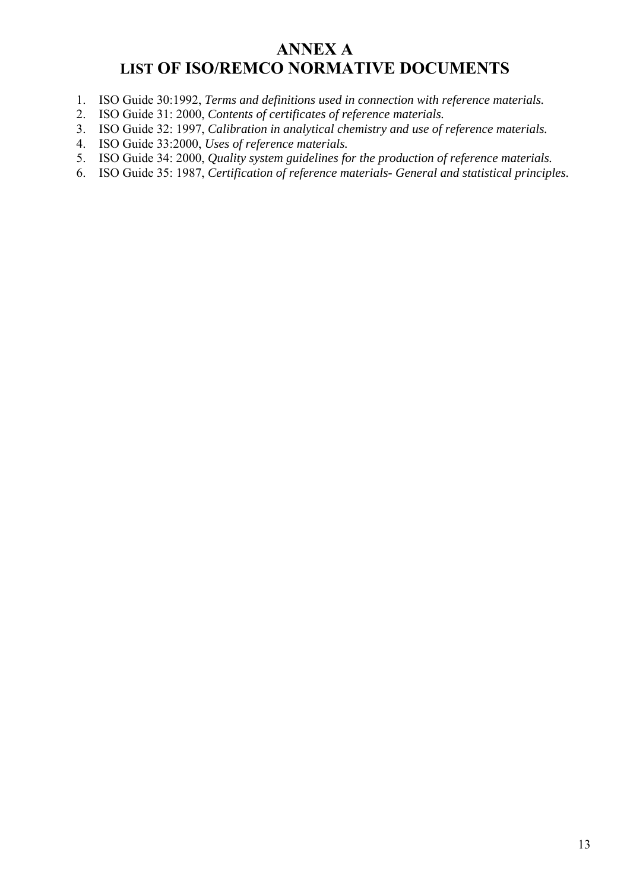## **ANNEX A LIST OF ISO/REMCO NORMATIVE DOCUMENTS**

- 1. ISO Guide 30:1992, *Terms and definitions used in connection with reference materials.*
- 2. ISO Guide 31: 2000, *Contents of certificates of reference materials.*
- 3. ISO Guide 32: 1997, *Calibration in analytical chemistry and use of reference materials.*
- 4. ISO Guide 33:2000, *Uses of reference materials.*
- 5. ISO Guide 34: 2000, *Quality system guidelines for the production of reference materials.*
- 6. ISO Guide 35: 1987, *Certification of reference materials- General and statistical principles.*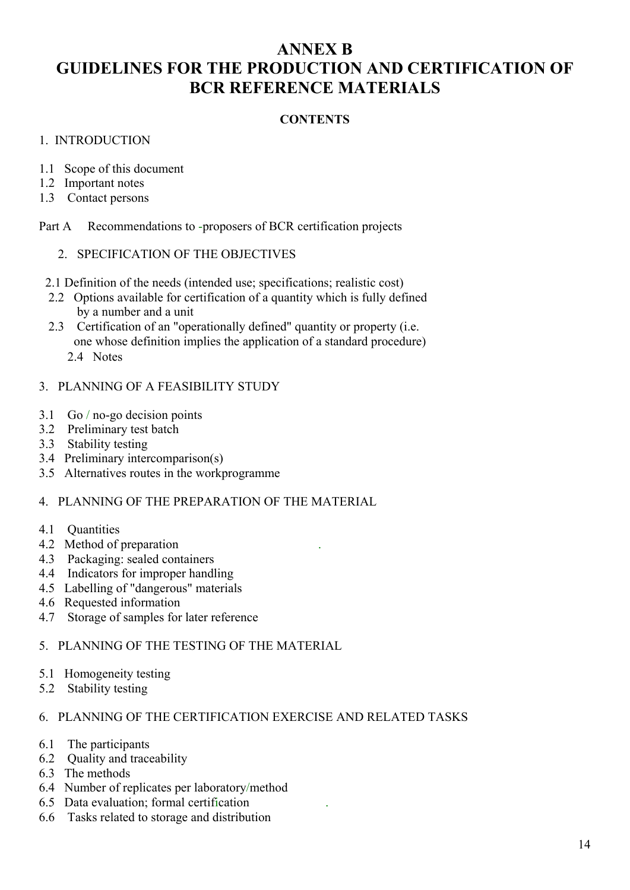## **ANNEX B GUIDELINES FOR THE PRODUCTION AND CERTIFICATION OF BCR REFERENCE MATERIALS**

### **CONTENTS**

#### 1. INTRODUCTION

- 1.1 Scope of this document
- 1.2 Important notes
- 1.3 Contact persons

Part A Recommendations to -proposers of BCR certification projects

#### 2. SPECIFICATION OF THE OBJECTIVES

- 2.1 Definition of the needs (intended use; specifications; realistic cost)
- 2.2 Options available for certification of a quantity which is fully defined by a number and a unit
- 2.3 Certification of an "operationally defined" quantity or property (i.e. one whose definition implies the application of a standard procedure)
	- 2.4 Notes

#### 3. PLANNING OF A FEASIBILITY STUDY

- 3.1 Go / no-go decision points
- 3.2 Preliminary test batch
- 3.3 Stability testing
- 3.4 Preliminary intercomparison(s)
- 3.5 Alternatives routes in the workprogramme

#### 4. PLANNING OF THE PREPARATION OF THE MATERIAL

- 4.1 Quantities
- 4.2 Method of preparation .
- 4.3 Packaging: sealed containers
- 4.4 Indicators for improper handling
- 4.5 Labelling of "dangerous" materials
- 4.6 Requested information
- 4.7 Storage of samples for later reference

## 5. PLANNING OF THE TESTING OF THE MATERIAL

- 5.1 Homogeneity testing
- 5.2 Stability testing

#### 6. PLANNING OF THE CERTIFICATION EXERCISE AND RELATED TASKS

- 6.1 The participants
- 6.2 Quality and traceability
- 6.3 The methods
- 6.4 Number of replicates per laboratory/method
- 6.5 Data evaluation; formal certification .
- 6.6 Tasks related to storage and distribution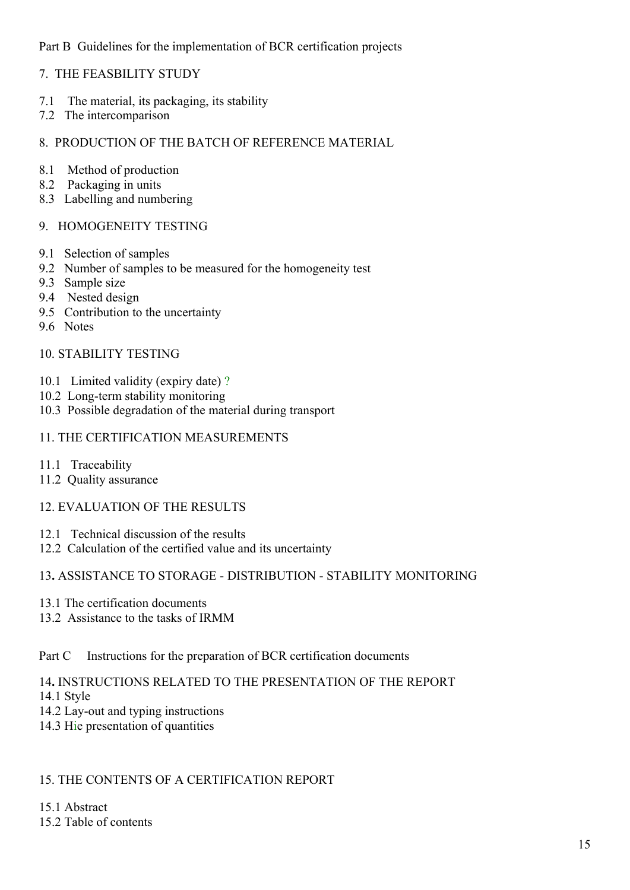## Part B Guidelines for the implementation of BCR certification projects

### 7. THE FEASBILITY STUDY

- 7.1 The material, its packaging, its stability
- 7.2 The intercomparison

### 8. PRODUCTION OF THE BATCH OF REFERENCE MATERIAL

- 8.1 Method of production
- 8.2 Packaging in units
- 8.3 Labelling and numbering

### 9. HOMOGENEITY TESTING

- 9.1 Selection of samples
- 9.2 Number of samples to be measured for the homogeneity test
- 9.3 Sample size
- 9.4 Nested design
- 9.5 Contribution to the uncertainty
- 9.6 Notes

#### 10. STABILITY TESTING

- 10.1 Limited validity (expiry date) ?
- 10.2 Long-term stability monitoring
- 10.3 Possible degradation of the material during transport

## 11. THE CERTIFICATION MEASUREMENTS

- 11.1 Traceability
- 11.2 Quality assurance

## 12. EVALUATION OF THE RESULTS

- 12.1 Technical discussion of the results
- 12.2 Calculation of the certified value and its uncertainty

### 13**.** ASSISTANCE TO STORAGE - DISTRIBUTION - STABILITY MONITORING

- 13.1 The certification documents
- 13.2 Assistance to the tasks of IRMM

### Part C Instructions for the preparation of BCR certification documents

#### 14**.** INSTRUCTIONS RELATED TO THE PRESENTATION OF THE REPORT

- 14.1 Style
- 14.2 Lay-out and typing instructions
- 14.3 Hie presentation of quantities

### 15. THE CONTENTS OF A CERTIFICATION REPORT

15.1 Abstract 15.2 Table of contents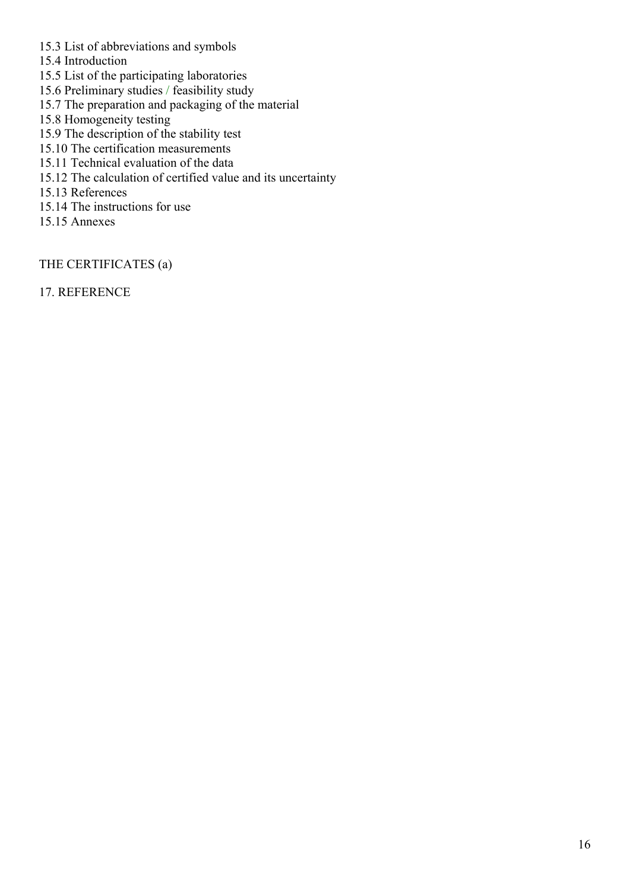- 15.3 List of abbreviations and symbols
- 15.4 Introduction
- 15.5 List of the participating laboratories
- 15.6 Preliminary studies / feasibility study
- 15.7 The preparation and packaging of the material
- 15.8 Homogeneity testing
- 15.9 The description of the stability test
- 15.10 The certification measurements
- 15.11 Technical evaluation of the data
- 15.12 The calculation of certified value and its uncertainty
- 15.13 References
- 15.14 The instructions for use
- 15.15 Annexes

THE CERTIFICATES (а)

17. REFERENCE